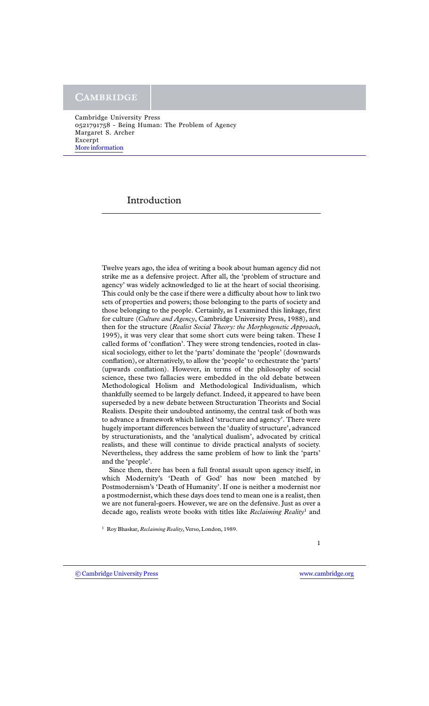# Introduction

Twelve years ago, the idea of writing a book about human agency did not strike me as a defensive project. After all, the 'problem of structure and agency' was widely acknowledged to lie at the heart of social theorising. This could only be the case if there were a difficulty about how to link two sets of properties and powers; those belonging to the parts of society and those belonging to the people. Certainly, as I examined this linkage, first for culture (*Culture and Agency*, Cambridge University Press, 1988), and then for the structure (*Realist Social Theory: the Morphogenetic Approach*, 1995), it was very clear that some short cuts were being taken. These I called forms of 'conflation'. They were strong tendencies, rooted in classical sociology, either to let the 'parts' dominate the 'people' (downwards conflation), or alternatively, to allow the 'people' to orchestrate the 'parts' (upwards conflation). However, in terms of the philosophy of social science, these two fallacies were embedded in the old debate between Methodological Holism and Methodological Individualism, which thankfully seemed to be largely defunct. Indeed, it appeared to have been superseded by a new debate between Structuration Theorists and Social Realists. Despite their undoubted antinomy, the central task of both was to advance a framework which linked 'structure and agency'. There were hugely important differences between the 'duality of structure', advanced by structurationists, and the 'analytical dualism', advocated by critical realists, and these will continue to divide practical analysts of society. Nevertheless, they address the same problem of how to link the 'parts' and the 'people'.

Since then, there has been a full frontal assault upon agency itself, in which Modernity's 'Death of God' has now been matched by Postmodernism's 'Death of Humanity'. If one is neither a modernist nor a postmodernist, which these days does tend to mean one is a realist, then we are not funeral-goers. However, we are on the defensive. Just as over a decade ago, realists wrote books with titles like *Reclaiming Reality*<sup>1</sup> and

<sup>1</sup> Roy Bhaskar, *Reclaiming Reality*, Verso, London, 1989.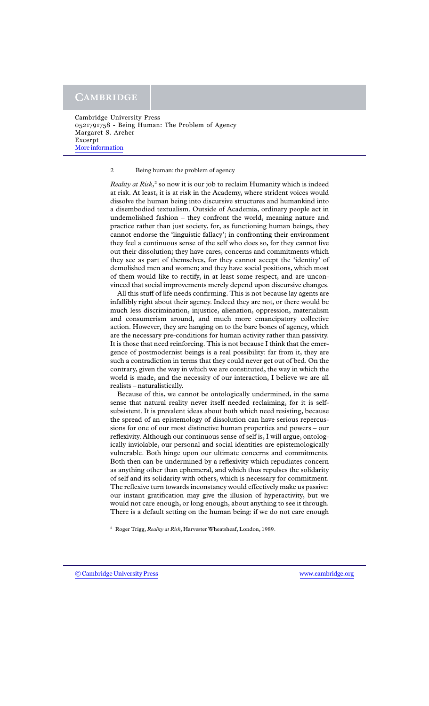## 2 Being human: the problem of agency

*Reality at Risk*, <sup>2</sup> so now it is our job to reclaim Humanity which is indeed at risk. At least, it is at risk in the Academy, where strident voices would dissolve the human being into discursive structures and humankind into a disembodied textualism. Outside of Academia, ordinary people act in undemolished fashion – they confront the world, meaning nature and practice rather than just society, for, as functioning human beings, they cannot endorse the 'linguistic fallacy'; in confronting their environment they feel a continuous sense of the self who does so, for they cannot live out their dissolution; they have cares, concerns and commitments which they see as part of themselves, for they cannot accept the 'identity' of demolished men and women; and they have social positions, which most of them would like to rectify, in at least some respect, and are unconvinced that social improvements merely depend upon discursive changes.

All this stuff of life needs confirming. This is not because lay agents are infallibly right about their agency. Indeed they are not, or there would be much less discrimination, injustice, alienation, oppression, materialism and consumerism around, and much more emancipatory collective action. However, they are hanging on to the bare bones of agency, which are the necessary pre-conditions for human activity rather than passivity. It is those that need reinforcing. This is not because I think that the emergence of postmodernist beings is a real possibility: far from it, they are such a contradiction in terms that they could never get out of bed. On the contrary, given the way in which we are constituted, the way in which the world is made, and the necessity of our interaction, I believe we are all realists – naturalistically.

Because of this, we cannot be ontologically undermined, in the same sense that natural reality never itself needed reclaiming, for it is selfsubsistent. It is prevalent ideas about both which need resisting, because the spread of an epistemology of dissolution can have serious repercussions for one of our most distinctive human properties and powers – our reflexivity. Although our continuous sense of self is, I will argue, ontologically inviolable, our personal and social identities are epistemologically vulnerable. Both hinge upon our ultimate concerns and commitments. Both then can be undermined by a reflexivity which repudiates concern as anything other than ephemeral, and which thus repulses the solidarity of self and its solidarity with others, which is necessary for commitment. The reflexive turn towards inconstancy would effectively make us passive: our instant gratification may give the illusion of hyperactivity, but we would not care enough, or long enough, about anything to see it through. There is a default setting on the human being: if we do not care enough

<sup>2</sup> Roger Trigg, *Reality at Risk*, Harvester Wheatsheaf, London, 1989.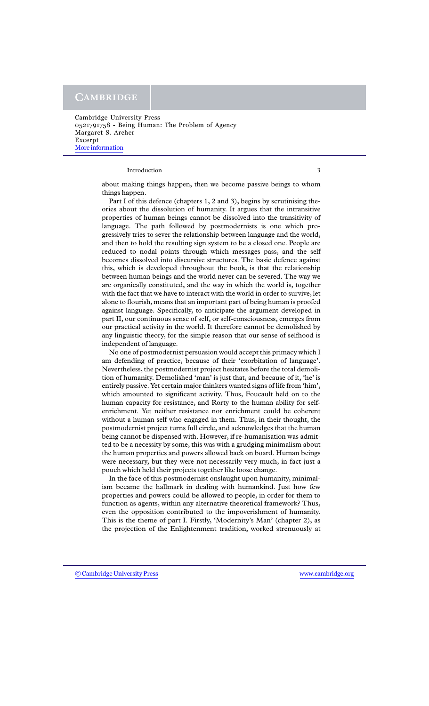## Introduction 3

about making things happen, then we become passive beings to whom things happen.

Part I of this defence (chapters 1, 2 and 3), begins by scrutinising theories about the dissolution of humanity. It argues that the intransitive properties of human beings cannot be dissolved into the transitivity of language. The path followed by postmodernists is one which progressively tries to sever the relationship between language and the world, and then to hold the resulting sign system to be a closed one. People are reduced to nodal points through which messages pass, and the self becomes dissolved into discursive structures. The basic defence against this, which is developed throughout the book, is that the relationship between human beings and the world never can be severed. The way we are organically constituted, and the way in which the world is, together with the fact that we have to interact with the world in order to survive, let alone to flourish, means that an important part of being human is proofed against language. Specifically, to anticipate the argument developed in part II, our continuous sense of self, or self-consciousness, emerges from our practical activity in the world. It therefore cannot be demolished by any linguistic theory, for the simple reason that our sense of selfhood is independent of language.

No one of postmodernist persuasion would accept this primacy which I am defending of practice, because of their 'exorbitation of language'. Nevertheless, the postmodernist project hesitates before the total demolition of humanity. Demolished 'man' is just that, and because of it, 'he' is entirely passive. Yet certain major thinkers wanted signs of life from 'him', which amounted to significant activity. Thus, Foucault held on to the human capacity for resistance, and Rorty to the human ability for selfenrichment. Yet neither resistance nor enrichment could be coherent without a human self who engaged in them. Thus, in their thought, the postmodernist project turns full circle, and acknowledges that the human being cannot be dispensed with. However, if re-humanisation was admitted to be a necessity by some, this was with a grudging minimalism about the human properties and powers allowed back on board. Human beings were necessary, but they were not necessarily very much, in fact just a pouch which held their projects together like loose change.

In the face of this postmodernist onslaught upon humanity, minimalism became the hallmark in dealing with humankind. Just how few properties and powers could be allowed to people, in order for them to function as agents, within any alternative theoretical framework? Thus, even the opposition contributed to the impoverishment of humanity. This is the theme of part I. Firstly, 'Modernity's Man' (chapter 2), as the projection of the Enlightenment tradition, worked strenuously at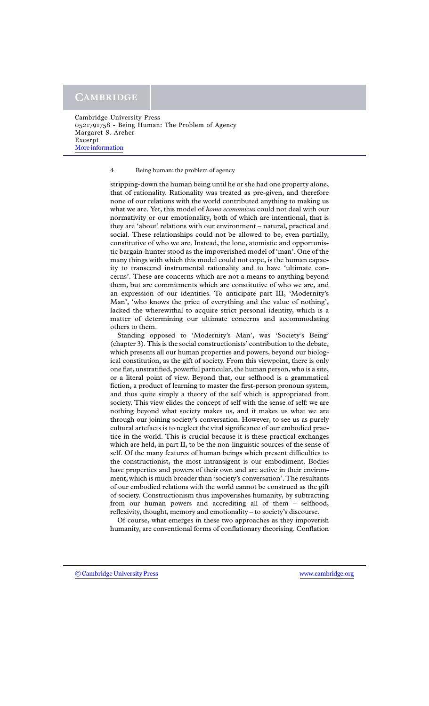## 4 Being human: the problem of agency

stripping-down the human being until he or she had one property alone, that of rationality. Rationality was treated as pre-given, and therefore none of our relations with the world contributed anything to making us what we are. Yet, this model of *homo economicus* could not deal with our normativity or our emotionality, both of which are intentional, that is they are 'about' relations with our environment – natural, practical and social. These relationships could not be allowed to be, even partially, constitutive of who we are. Instead, the lone, atomistic and opportunistic bargain-hunter stood as the impoverished model of 'man'. One of the many things with which this model could not cope, is the human capacity to transcend instrumental rationality and to have 'ultimate concerns'. These are concerns which are not a means to anything beyond them, but are commitments which are constitutive of who we are, and an expression of our identities. To anticipate part III, 'Modernity's Man', 'who knows the price of everything and the value of nothing', lacked the wherewithal to acquire strict personal identity, which is a matter of determining our ultimate concerns and accommodating others to them.

Standing opposed to 'Modernity's Man', was 'Society's Being' (chapter 3). This is the social constructionists' contribution to the debate, which presents all our human properties and powers, beyond our biological constitution, as the gift of society. From this viewpoint, there is only one flat, unstratified, powerful particular, the human person, who is a site, or a literal point of view. Beyond that, our selfhood is a grammatical fiction, a product of learning to master the first-person pronoun system, and thus quite simply a theory of the self which is appropriated from society. This view elides the concept of self with the sense of self: we are nothing beyond what society makes us, and it makes us what we are through our joining society's conversation. However, to see us as purely cultural artefacts is to neglect the vital significance of our embodied practice in the world. This is crucial because it is these practical exchanges which are held, in part II, to be the non-linguistic sources of the sense of self. Of the many features of human beings which present difficulties to the constructionist, the most intransigent is our embodiment. Bodies have properties and powers of their own and are active in their environment, which is much broader than 'society's conversation'. The resultants of our embodied relations with the world cannot be construed as the gift of society. Constructionism thus impoverishes humanity, by subtracting from our human powers and accrediting all of them – selfhood, reflexivity, thought, memory and emotionality – to society's discourse.

Of course, what emerges in these two approaches as they impoverish humanity, are conventional forms of conflationary theorising. Conflation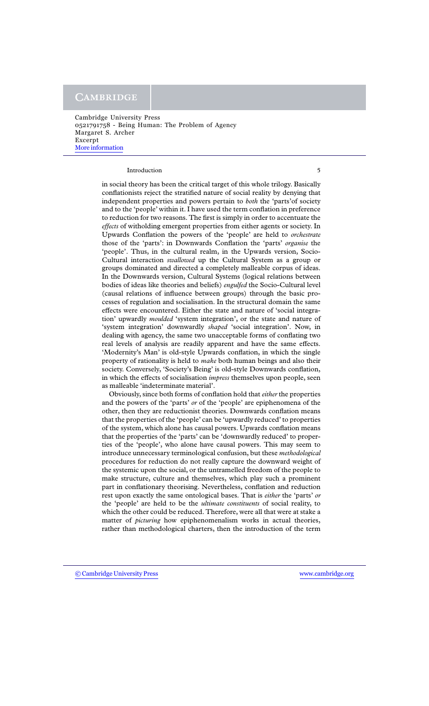## Introduction 5

in social theory has been the critical target of this whole trilogy. Basically conflationists reject the stratified nature of social reality by denying that independent properties and powers pertain to *both* the 'parts'of society and to the 'people' within it. I have used the term conflation in preference to reduction for two reasons. The first is simply in order to accentuate the *effects* of witholding emergent properties from either agents or society. In Upwards Conflation the powers of the 'people' are held to *orchestrate* those of the 'parts': in Downwards Conflation the 'parts' *organise* the 'people'. Thus, in the cultural realm, in the Upwards version, Socio-Cultural interaction *swallowed* up the Cultural System as a group or groups dominated and directed a completely malleable corpus of ideas. In the Downwards version, Cultural Systems (logical relations between bodies of ideas like theories and beliefs) *engulfed* the Socio-Cultural level (causal relations of influence between groups) through the basic processes of regulation and socialisation. In the structural domain the same effects were encountered. Either the state and nature of 'social integration' upwardly *moulded* 'system integration', or the state and nature of 'system integration' downwardly *shaped* 'social integration'. Now, in dealing with agency, the same two unacceptable forms of conflating two real levels of analysis are readily apparent and have the same effects. 'Modernity's Man' is old-style Upwards conflation, in which the single property of rationality is held to *make* both human beings and also their society. Conversely, 'Society's Being' is old-style Downwards conflation, in which the effects of socialisation *impress* themselves upon people, seen as malleable 'indeterminate material'.

Obviously, since both forms of conflation hold that *either* the properties and the powers of the 'parts' *or* of the 'people' are epiphenomena of the other, then they are reductionist theories. Downwards conflation means that the properties of the 'people' can be 'upwardly reduced' to properties of the system, which alone has causal powers. Upwards conflation means that the properties of the 'parts' can be 'downwardly reduced' to properties of the 'people', who alone have causal powers. This may seem to introduce unnecessary terminological confusion, but these *methodological* procedures for reduction do not really capture the downward weight of the systemic upon the social, or the untramelled freedom of the people to make structure, culture and themselves, which play such a prominent part in conflationary theorising. Nevertheless, conflation and reduction rest upon exactly the same ontological bases. That is *either* the 'parts' *or* the 'people' are held to be the *ultimate constituents* of social reality, to which the other could be reduced. Therefore, were all that were at stake a matter of *picturing* how epiphenomenalism works in actual theories, rather than methodological charters, then the introduction of the term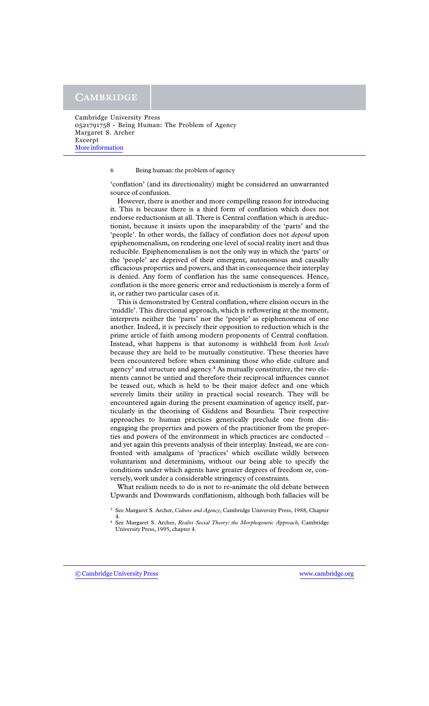#### 6 Being human: the problem of agency

'conflation' (and its directionality) might be considered an unwarranted source of confusion.

However, there is another and more compelling reason for introducing it. This is because there is a third form of conflation which does not endorse reductionism at all. There is Central conflation which is *a*reductionist, because it insists upon the inseparability of the 'parts' and the 'people'. In other words, the fallacy of conflation does not *depend* upon epiphenomenalism, on rendering one level of social reality inert and thus reducible. Epiphenomenalism is not the only way in which the 'parts' or the 'people' are deprived of their emergent, autonomous and causally efficacious properties and powers, and that in consequence their interplay is denied. Any form of conflation has the same consequences. Hence, conflation is the more generic error and reductionism is merely a form of it, or rather two particular cases of it.

This is demonstrated by Central conflation, where elision occurs in the 'middle'. This directional approach, which is reflowering at the moment, interprets neither the 'parts' nor the 'people' as epiphenomena of one another. Indeed, it is precisely their opposition to reduction which is the prime article of faith among modern proponents of Central conflation. Instead, what happens is that autonomy is withheld from *both levels* because they are held to be mutually constitutive. These theories have been encountered before when examining those who elide culture and agency<sup>3</sup> and structure and agency.<sup>4</sup> As mutually constitutive, the two elements cannot be untied and therefore their reciprocal influences cannot be teased out, which is held to be their major defect and one which severely limits their utility in practical social research. They will be encountered again during the present examination of agency itself, particularly in the theorising of Giddens and Bourdieu. Their respective approaches to human practices generically preclude one from disengaging the properties and powers of the practitioner from the properties and powers of the environment in which practices are conducted – and yet again this prevents analysis of their interplay. Instead, we are confronted with amalgams of 'practices' which oscillate wildly between voluntarism and determinism, without our being able to specify the conditions under which agents have greater degrees of freedom or, conversely, work under a considerable stringency of constraints.

What realism needs to do is not to re-animate the old debate between Upwards and Downwards conflationism, although both fallacies will be

<sup>3</sup> See Margaret S. Archer, *Culture and Agency*, Cambridge University Press, 1988, Chapter 4.

<sup>4</sup> See Margaret S. Archer, *Realist Social Theory: the Morphogenetic Approach*, Cambridge University Press, 1995, chapter 4.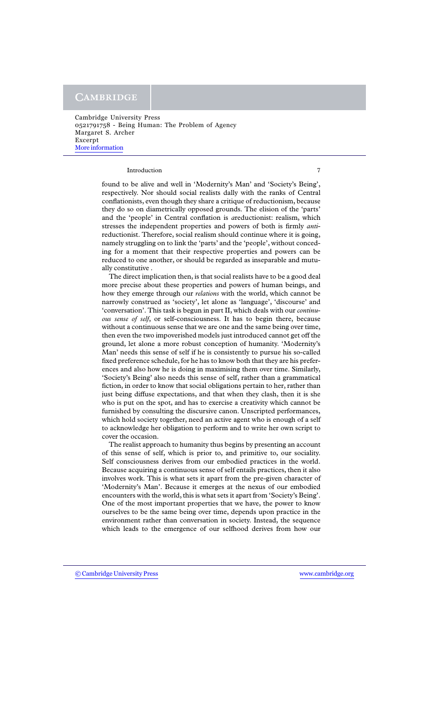## Introduction 7

found to be alive and well in 'Modernity's Man' and 'Society's Being', respectively. Nor should social realists dally with the ranks of Central conflationists, even though they share a critique of reductionism, because they do so on diametrically opposed grounds. The elision of the 'parts' and the 'people' in Central conflation is *a*reductionist: realism, which stresses the independent properties and powers of both is firmly *anti*reductionist. Therefore, social realism should continue where it is going, namely struggling on to link the 'parts' and the 'people', without conceding for a moment that their respective properties and powers can be reduced to one another, or should be regarded as inseparable and mutually constitutive .

The direct implication then, is that social realists have to be a good deal more precise about these properties and powers of human beings, and how they emerge through our *relations* with the world, which cannot be narrowly construed as 'society', let alone as 'language', 'discourse' and 'conversation'. This task is begun in part II, which deals with our *continuous sense of self*, or self-consciousness. It has to begin there, because without a continuous sense that we are one and the same being over time, then even the two impoverished models just introduced cannot get off the ground, let alone a more robust conception of humanity. 'Modernity's Man' needs this sense of self if he is consistently to pursue his so-called fixed preference schedule, for he has to know both that they are his preferences and also how he is doing in maximising them over time. Similarly, 'Society's Being' also needs this sense of self, rather than a grammatical fiction, in order to know that social obligations pertain to her, rather than just being diffuse expectations, and that when they clash, then it is she who is put on the spot, and has to exercise a creativity which cannot be furnished by consulting the discursive canon. Unscripted performances, which hold society together, need an active agent who is enough of a self to acknowledge her obligation to perform and to write her own script to cover the occasion.

The realist approach to humanity thus begins by presenting an account of this sense of self, which is prior to, and primitive to, our sociality. Self consciousness derives from our embodied practices in the world. Because acquiring a continuous sense of self entails practices, then it also involves work. This is what sets it apart from the pre-given character of 'Modernity's Man'. Because it emerges at the nexus of our embodied encounters with the world, this is what sets it apart from 'Society's Being'. One of the most important properties that we have, the power to know ourselves to be the same being over time, depends upon practice in the environment rather than conversation in society. Instead, the sequence which leads to the emergence of our selfhood derives from how our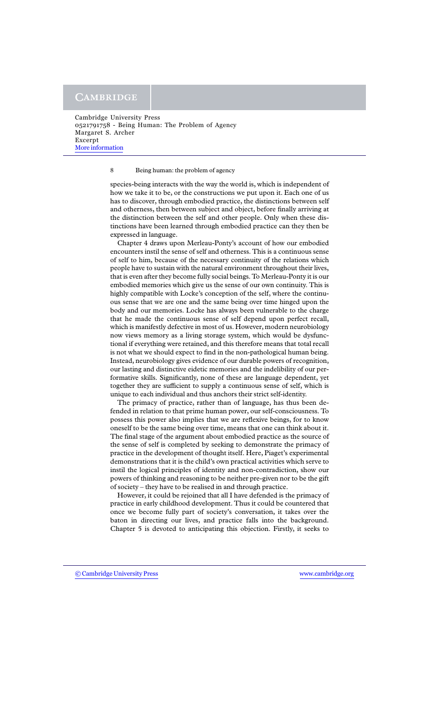## 8 Being human: the problem of agency

species-being interacts with the way the world is, which is independent of how we take it to be, or the constructions we put upon it. Each one of us has to discover, through embodied practice, the distinctions between self and otherness, then between subject and object, before finally arriving at the distinction between the self and other people. Only when these distinctions have been learned through embodied practice can they then be expressed in language.

Chapter 4 draws upon Merleau-Ponty's account of how our embodied encounters instil the sense of self and otherness. This is a continuous sense of self to him, because of the necessary continuity of the relations which people have to sustain with the natural environment throughout their lives, that is even after they become fully social beings. To Merleau-Ponty it is our embodied memories which give us the sense of our own continuity. This is highly compatible with Locke's conception of the self, where the continuous sense that we are one and the same being over time hinged upon the body and our memories. Locke has always been vulnerable to the charge that he made the continuous sense of self depend upon perfect recall, which is manifestly defective in most of us. However, modern neurobiology now views memory as a living storage system, which would be dysfunctional if everything were retained, and this therefore means that total recall is not what we should expect to find in the non-pathological human being. Instead, neurobiology gives evidence of our durable powers of recognition, our lasting and distinctive eidetic memories and the indelibility of our performative skills. Significantly, none of these are language dependent, yet together they are sufficient to supply a continuous sense of self, which is unique to each individual and thus anchors their strict self-identity.

The primacy of practice, rather than of language, has thus been defended in relation to that prime human power, our self-consciousness. To possess this power also implies that we are reflexive beings, for to know oneself to be the same being over time, means that one can think about it. The final stage of the argument about embodied practice as the source of the sense of self is completed by seeking to demonstrate the primacy of practice in the development of thought itself. Here, Piaget's experimental demonstrations that it is the child's own practical activities which serve to instil the logical principles of identity and non-contradiction, show our powers of thinking and reasoning to be neither pre-given nor to be the gift of society – they have to be realised in and through practice.

However, it could be rejoined that all I have defended is the primacy of practice in early childhood development. Thus it could be countered that once we become fully part of society's conversation, it takes over the baton in directing our lives, and practice falls into the background. Chapter 5 is devoted to anticipating this objection. Firstly, it seeks to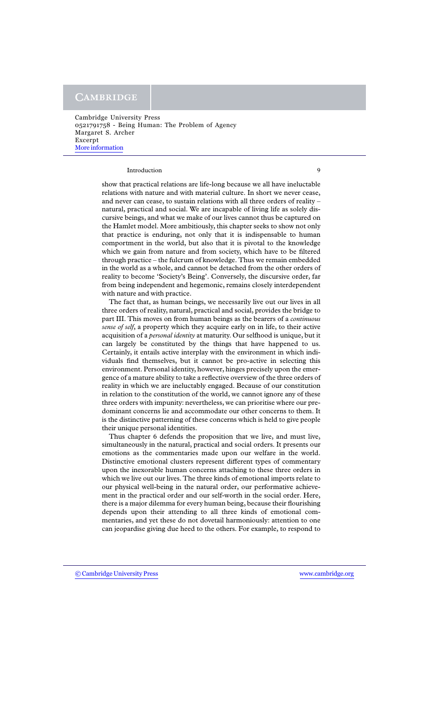## Introduction 9

show that practical relations are life-long because we all have ineluctable relations with nature and with material culture. In short we never cease, and never can cease, to sustain relations with all three orders of reality – natural, practical and social. We are incapable of living life as solely discursive beings, and what we make of our lives cannot thus be captured on the Hamlet model. More ambitiously, this chapter seeks to show not only that practice is enduring, not only that it is indispensable to human comportment in the world, but also that it is pivotal to the knowledge which we gain from nature and from society, which have to be filtered through practice – the fulcrum of knowledge. Thus we remain embedded in the world as a whole, and cannot be detached from the other orders of reality to become 'Society's Being'. Conversely, the discursive order, far from being independent and hegemonic, remains closely interdependent with nature and with practice.

The fact that, as human beings, we necessarily live out our lives in all three orders of reality, natural, practical and social, provides the bridge to part III. This moves on from human beings as the bearers of a *continuous sense of self*, a property which they acquire early on in life, to their active acquisition of a *personal identity* at maturity. Our selfhood is unique, but it can largely be constituted by the things that have happened to us. Certainly, it entails active interplay with the environment in which individuals find themselves, but it cannot be pro-active in selecting this environment. Personal identity, however, hinges precisely upon the emergence of a mature ability to take a reflective overview of the three orders of reality in which we are ineluctably engaged. Because of our constitution in relation to the constitution of the world, we cannot ignore any of these three orders with impunity: nevertheless, we can prioritise where our predominant concerns lie and accommodate our other concerns to them. It is the distinctive patterning of these concerns which is held to give people their unique personal identities.

Thus chapter 6 defends the proposition that we live, and must live, simultaneously in the natural, practical and social orders. It presents our emotions as the commentaries made upon our welfare in the world. Distinctive emotional clusters represent different types of commentary upon the inexorable human concerns attaching to these three orders in which we live out our lives. The three kinds of emotional imports relate to our physical well-being in the natural order, our performative achievement in the practical order and our self-worth in the social order. Here, there is a major dilemma for every human being, because their flourishing depends upon their attending to all three kinds of emotional commentaries, and yet these do not dovetail harmoniously: attention to one can jeopardise giving due heed to the others. For example, to respond to